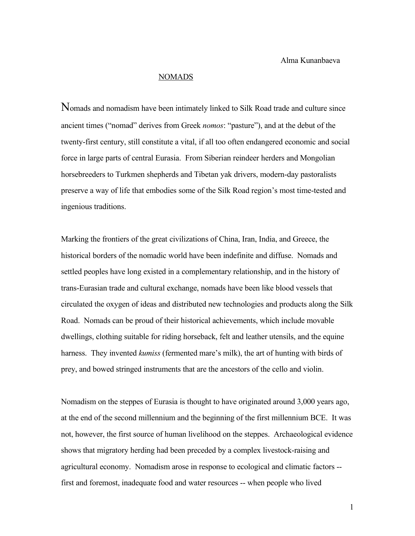## NOMADS

Nomads and nomadism have been intimately linked to Silk Road trade and culture since ancient times ("nomad" derives from Greek *nomos*: "pasture"), and at the debut of the twenty-first century, still constitute a vital, if all too often endangered economic and social force in large parts of central Eurasia. From Siberian reindeer herders and Mongolian horsebreeders to Turkmen shepherds and Tibetan yak drivers, modern-day pastoralists preserve a way of life that embodies some of the Silk Road region's most time-tested and ingenious traditions.

Marking the frontiers of the great civilizations of China, Iran, India, and Greece, the historical borders of the nomadic world have been indefinite and diffuse. Nomads and settled peoples have long existed in a complementary relationship, and in the history of trans-Eurasian trade and cultural exchange, nomads have been like blood vessels that circulated the oxygen of ideas and distributed new technologies and products along the Silk Road. Nomads can be proud of their historical achievements, which include movable dwellings, clothing suitable for riding horseback, felt and leather utensils, and the equine harness. They invented *kumiss* (fermented mare's milk), the art of hunting with birds of prey, and bowed stringed instruments that are the ancestors of the cello and violin.

Nomadism on the steppes of Eurasia is thought to have originated around 3,000 years ago, at the end of the second millennium and the beginning of the first millennium BCE. It was not, however, the first source of human livelihood on the steppes. Archaeological evidence shows that migratory herding had been preceded by a complex livestock-raising and agricultural economy. Nomadism arose in response to ecological and climatic factors - first and foremost, inadequate food and water resources -- when people who lived

1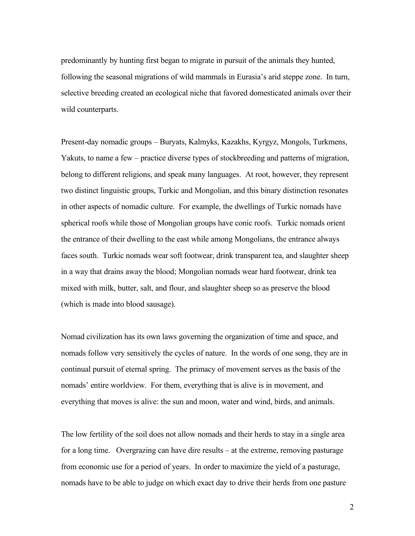predominantly by hunting first began to migrate in pursuit of the animals they hunted, following the seasonal migrations of wild mammals in Eurasia's arid steppe zone. In turn, selective breeding created an ecological niche that favored domesticated animals over their wild counterparts.

Present-day nomadic groups – Buryats, Kalmyks, Kazakhs, Kyrgyz, Mongols, Turkmens, Yakuts, to name a few – practice diverse types of stockbreeding and patterns of migration, belong to different religions, and speak many languages. At root, however, they represent two distinct linguistic groups, Turkic and Mongolian, and this binary distinction resonates in other aspects of nomadic culture. For example, the dwellings of Turkic nomads have spherical roofs while those of Mongolian groups have conic roofs. Turkic nomads orient the entrance of their dwelling to the east while among Mongolians, the entrance always faces south. Turkic nomads wear soft footwear, drink transparent tea, and slaughter sheep in a way that drains away the blood; Mongolian nomads wear hard footwear, drink tea mixed with milk, butter, salt, and flour, and slaughter sheep so as preserve the blood (which is made into blood sausage).

Nomad civilization has its own laws governing the organization of time and space, and nomads follow very sensitively the cycles of nature. In the words of one song, they are in continual pursuit of eternal spring. The primacy of movement serves as the basis of the nomads' entire worldview. For them, everything that is alive is in movement, and everything that moves is alive: the sun and moon, water and wind, birds, and animals.

The low fertility of the soil does not allow nomads and their herds to stay in a single area for a long time. Overgrazing can have dire results – at the extreme, removing pasturage from economic use for a period of years. In order to maximize the yield of a pasturage, nomads have to be able to judge on which exact day to drive their herds from one pasture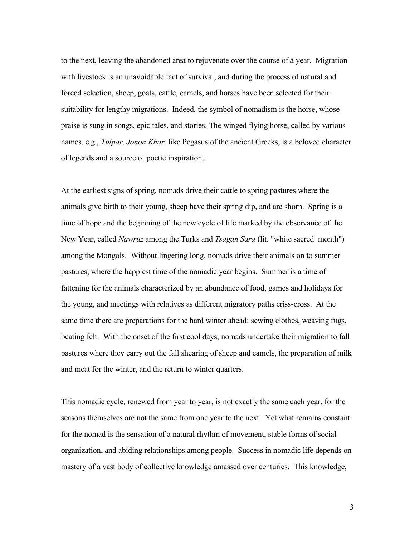to the next, leaving the abandoned area to rejuvenate over the course of a year. Migration with livestock is an unavoidable fact of survival, and during the process of natural and forced selection, sheep, goats, cattle, camels, and horses have been selected for their suitability for lengthy migrations. Indeed, the symbol of nomadism is the horse, whose praise is sung in songs, epic tales, and stories. The winged flying horse, called by various names, e.g., *Tulpar, Jonon Khar*, like Pegasus of the ancient Greeks, is a beloved character of legends and a source of poetic inspiration.

At the earliest signs of spring, nomads drive their cattle to spring pastures where the animals give birth to their young, sheep have their spring dip, and are shorn. Spring is a time of hope and the beginning of the new cycle of life marked by the observance of the New Year, called *Nawruz* among the Turks and *Tsagan Sara* (lit. "white sacred month") among the Mongols. Without lingering long, nomads drive their animals on to summer pastures, where the happiest time of the nomadic year begins. Summer is a time of fattening for the animals characterized by an abundance of food, games and holidays for the young, and meetings with relatives as different migratory paths criss-cross. At the same time there are preparations for the hard winter ahead: sewing clothes, weaving rugs, beating felt. With the onset of the first cool days, nomads undertake their migration to fall pastures where they carry out the fall shearing of sheep and camels, the preparation of milk and meat for the winter, and the return to winter quarters.

This nomadic cycle, renewed from year to year, is not exactly the same each year, for the seasons themselves are not the same from one year to the next. Yet what remains constant for the nomad is the sensation of a natural rhythm of movement, stable forms of social organization, and abiding relationships among people. Success in nomadic life depends on mastery of a vast body of collective knowledge amassed over centuries. This knowledge,

3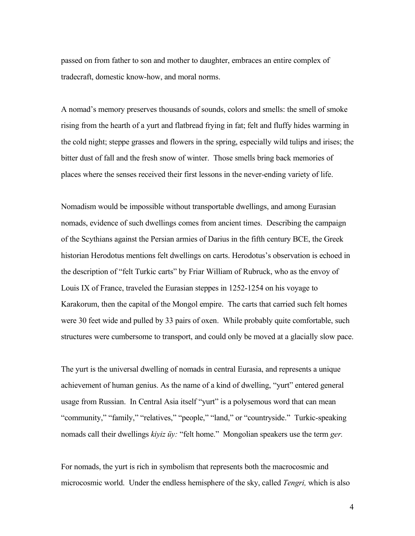passed on from father to son and mother to daughter, embraces an entire complex of tradecraft, domestic know-how, and moral norms.

A nomad's memory preserves thousands of sounds, colors and smells: the smell of smoke rising from the hearth of a yurt and flatbread frying in fat; felt and fluffy hides warming in the cold night; steppe grasses and flowers in the spring, especially wild tulips and irises; the bitter dust of fall and the fresh snow of winter. Those smells bring back memories of places where the senses received their first lessons in the never-ending variety of life.

Nomadism would be impossible without transportable dwellings, and among Eurasian nomads, evidence of such dwellings comes from ancient times. Describing the campaign of the Scythians against the Persian armies of Darius in the fifth century BCE, the Greek historian Herodotus mentions felt dwellings on carts. Herodotus's observation is echoed in the description of "felt Turkic carts" by Friar William of Rubruck, who as the envoy of Louis IX of France, traveled the Eurasian steppes in 1252-1254 on his voyage to Karakorum, then the capital of the Mongol empire. The carts that carried such felt homes were 30 feet wide and pulled by 33 pairs of oxen. While probably quite comfortable, such structures were cumbersome to transport, and could only be moved at a glacially slow pace.

The yurt is the universal dwelling of nomads in central Eurasia, and represents a unique achievement of human genius. As the name of a kind of dwelling, "yurt" entered general usage from Russian. In Central Asia itself "yurt" is a polysemous word that can mean "community," "family," "relatives," "people," "land," or "countryside." Turkic-speaking nomads call their dwellings *kiyiz üy:* "felt home." Mongolian speakers use the term *ger.*

For nomads, the yurt is rich in symbolism that represents both the macrocosmic and microcosmic world. Under the endless hemisphere of the sky, called *Tengri,* which is also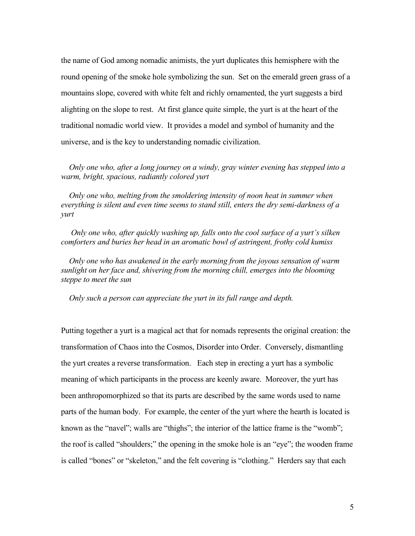the name of God among nomadic animists, the yurt duplicates this hemisphere with the round opening of the smoke hole symbolizing the sun. Set on the emerald green grass of a mountains slope, covered with white felt and richly ornamented, the yurt suggests a bird alighting on the slope to rest. At first glance quite simple, the yurt is at the heart of the traditional nomadic world view. It provides a model and symbol of humanity and the universe, and is the key to understanding nomadic civilization.

 *Only one who, after a long journey on a windy, gray winter evening has stepped into a warm, bright, spacious, radiantly colored yurt*

 *Only one who, melting from the smoldering intensity of noon heat in summer when everything is silent and even time seems to stand still, enters the dry semi-darkness of a yurt*

 *Only one who, after quickly washing up, falls onto the cool surface of a yurt's silken comforters and buries her head in an aromatic bowl of astringent, frothy cold kumiss*

 *Only one who has awakened in the early morning from the joyous sensation of warm sunlight on her face and, shivering from the morning chill, emerges into the blooming steppe to meet the sun*

 *Only such a person can appreciate the yurt in its full range and depth.*

Putting together a yurt is a magical act that for nomads represents the original creation: the transformation of Chaos into the Cosmos, Disorder into Order. Conversely, dismantling the yurt creates a reverse transformation. Each step in erecting a yurt has a symbolic meaning of which participants in the process are keenly aware. Moreover, the yurt has been anthropomorphized so that its parts are described by the same words used to name parts of the human body. For example, the center of the yurt where the hearth is located is known as the "navel"; walls are "thighs"; the interior of the lattice frame is the "womb"; the roof is called "shoulders;" the opening in the smoke hole is an "eye"; the wooden frame is called "bones" or "skeleton," and the felt covering is "clothing." Herders say that each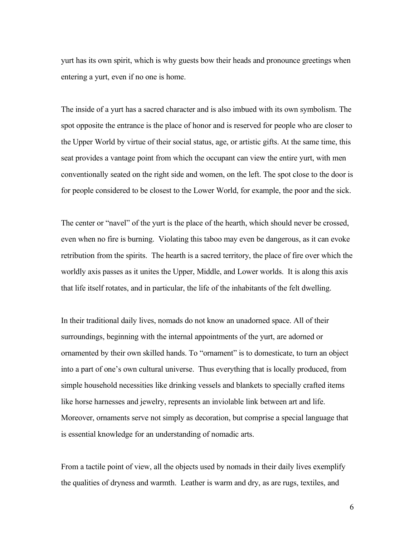yurt has its own spirit, which is why guests bow their heads and pronounce greetings when entering a yurt, even if no one is home.

The inside of a yurt has a sacred character and is also imbued with its own symbolism. The spot opposite the entrance is the place of honor and is reserved for people who are closer to the Upper World by virtue of their social status, age, or artistic gifts. At the same time, this seat provides a vantage point from which the occupant can view the entire yurt, with men conventionally seated on the right side and women, on the left. The spot close to the door is for people considered to be closest to the Lower World, for example, the poor and the sick.

The center or "navel" of the yurt is the place of the hearth, which should never be crossed, even when no fire is burning. Violating this taboo may even be dangerous, as it can evoke retribution from the spirits. The hearth is a sacred territory, the place of fire over which the worldly axis passes as it unites the Upper, Middle, and Lower worlds. It is along this axis that life itself rotates, and in particular, the life of the inhabitants of the felt dwelling.

In their traditional daily lives, nomads do not know an unadorned space. All of their surroundings, beginning with the internal appointments of the yurt, are adorned or ornamented by their own skilled hands. To "ornament" is to domesticate, to turn an object into a part of one's own cultural universe. Thus everything that is locally produced, from simple household necessities like drinking vessels and blankets to specially crafted items like horse harnesses and jewelry, represents an inviolable link between art and life. Moreover, ornaments serve not simply as decoration, but comprise a special language that is essential knowledge for an understanding of nomadic arts.

From a tactile point of view, all the objects used by nomads in their daily lives exemplify the qualities of dryness and warmth. Leather is warm and dry, as are rugs, textiles, and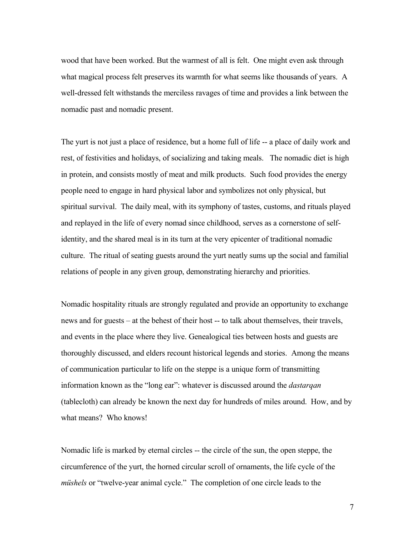wood that have been worked. But the warmest of all is felt. One might even ask through what magical process felt preserves its warmth for what seems like thousands of years. A well-dressed felt withstands the merciless ravages of time and provides a link between the nomadic past and nomadic present.

The yurt is not just a place of residence, but a home full of life -- a place of daily work and rest, of festivities and holidays, of socializing and taking meals. The nomadic diet is high in protein, and consists mostly of meat and milk products. Such food provides the energy people need to engage in hard physical labor and symbolizes not only physical, but spiritual survival. The daily meal, with its symphony of tastes, customs, and rituals played and replayed in the life of every nomad since childhood, serves as a cornerstone of selfidentity, and the shared meal is in its turn at the very epicenter of traditional nomadic culture. The ritual of seating guests around the yurt neatly sums up the social and familial relations of people in any given group, demonstrating hierarchy and priorities.

Nomadic hospitality rituals are strongly regulated and provide an opportunity to exchange news and for guests – at the behest of their host -- to talk about themselves, their travels, and events in the place where they live. Genealogical ties between hosts and guests are thoroughly discussed, and elders recount historical legends and stories. Among the means of communication particular to life on the steppe is a unique form of transmitting information known as the "long ear": whatever is discussed around the *dastarqan* (tablecloth) can already be known the next day for hundreds of miles around. How, and by what means? Who knows!

Nomadic life is marked by eternal circles -- the circle of the sun, the open steppe, the circumference of the yurt, the horned circular scroll of ornaments, the life cycle of the *müshels* or "twelve-year animal cycle." The completion of one circle leads to the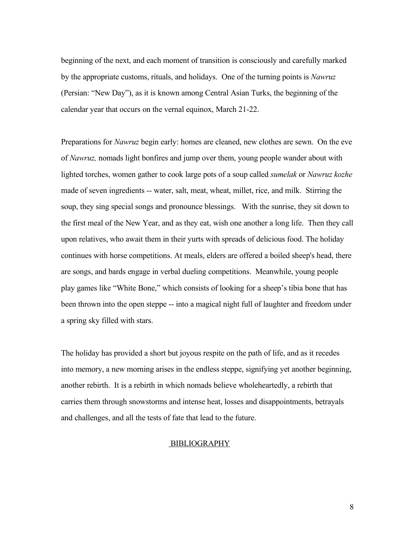beginning of the next, and each moment of transition is consciously and carefully marked by the appropriate customs, rituals, and holidays. One of the turning points is *Nawruz* (Persian: "New Day"), as it is known among Central Asian Turks, the beginning of the calendar year that occurs on the vernal equinox, March 21-22.

Preparations for *Nawruz* begin early: homes are cleaned, new clothes are sewn. On the eve of *Nawruz,* nomads light bonfires and jump over them, young people wander about with lighted torches, women gather to cook large pots of a soup called *sumelak* or *Nawruz kozhe* made of seven ingredients -- water, salt, meat, wheat, millet, rice, and milk. Stirring the soup, they sing special songs and pronounce blessings. With the sunrise, they sit down to the first meal of the New Year, and as they eat, wish one another a long life. Then they call upon relatives, who await them in their yurts with spreads of delicious food. The holiday continues with horse competitions. At meals, elders are offered a boiled sheep's head, there are songs, and bards engage in verbal dueling competitions. Meanwhile, young people play games like "White Bone," which consists of looking for a sheep's tibia bone that has been thrown into the open steppe -- into a magical night full of laughter and freedom under a spring sky filled with stars.

The holiday has provided a short but joyous respite on the path of life, and as it recedes into memory, a new morning arises in the endless steppe, signifying yet another beginning, another rebirth. It is a rebirth in which nomads believe wholeheartedly, a rebirth that carries them through snowstorms and intense heat, losses and disappointments, betrayals and challenges, and all the tests of fate that lead to the future.

## BIBLIOGRAPHY